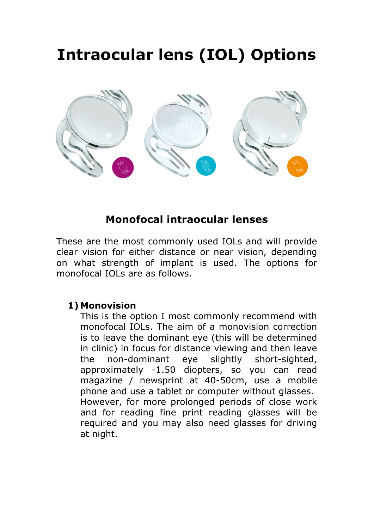# **Intraocular lens (IOL) Options**



### **Monofocal intraocular lenses**

These are the most commonly used IOLs and will provide clear vision for either distance or near vision, depending on what strength of implant is used. The options for monofocal IOLs are as follows.

#### **1) Monovision**

This is the option I most commonly recommend with monofocal IOLs. The aim of a monovision correction is to leave the dominant eye (this will be determined in clinic) in focus for distance viewing and then leave the non-dominant eye slightly short-sighted, approximately -1.50 diopters, so you can read magazine / newsprint at 40-50cm, use a mobile phone and use a tablet or computer without glasses. However, for more prolonged periods of close work and for reading fine print reading glasses will be required and you may also need glasses for driving at night.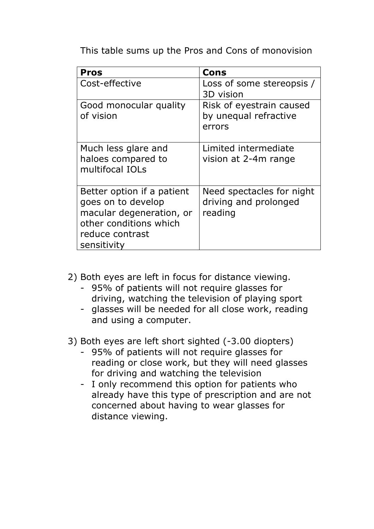This table sums up the Pros and Cons of monovision

| <b>Pros</b>                                                                                                                              | Cons                                                          |  |
|------------------------------------------------------------------------------------------------------------------------------------------|---------------------------------------------------------------|--|
| Cost-effective                                                                                                                           | Loss of some stereopsis /<br>3D vision                        |  |
| Good monocular quality<br>of vision                                                                                                      | Risk of eyestrain caused<br>by unequal refractive<br>errors   |  |
| Much less glare and<br>haloes compared to<br>multifocal IOLs                                                                             | Limited intermediate<br>vision at 2-4m range                  |  |
| Better option if a patient<br>goes on to develop<br>macular degeneration, or<br>other conditions which<br>reduce contrast<br>sensitivity | Need spectacles for night<br>driving and prolonged<br>reading |  |

2) Both eyes are left in focus for distance viewing.

- 95% of patients will not require glasses for driving, watching the television of playing sport
- glasses will be needed for all close work, reading and using a computer.

3) Both eyes are left short sighted (-3.00 diopters)

- 95% of patients will not require glasses for reading or close work, but they will need glasses for driving and watching the television
- I only recommend this option for patients who already have this type of prescription and are not concerned about having to wear glasses for distance viewing.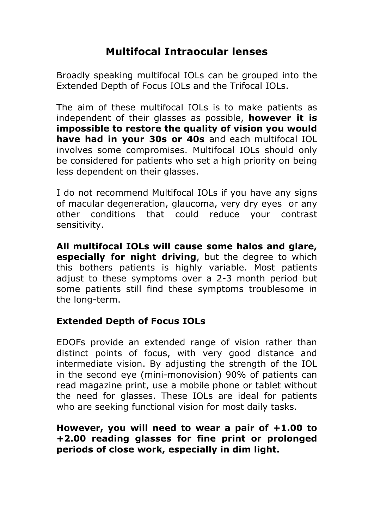## **Multifocal Intraocular lenses**

Broadly speaking multifocal IOLs can be grouped into the Extended Depth of Focus IOLs and the Trifocal IOLs.

The aim of these multifocal IOLs is to make patients as independent of their glasses as possible, **however it is impossible to restore the quality of vision you would have had in your 30s or 40s** and each multifocal IOL involves some compromises. Multifocal IOLs should only be considered for patients who set a high priority on being less dependent on their glasses.

I do not recommend Multifocal IOLs if you have any signs of macular degeneration, glaucoma, very dry eyes or any other conditions that could reduce your contrast sensitivity.

**All multifocal IOLs will cause some halos and glare, especially for night driving**, but the degree to which this bothers patients is highly variable. Most patients adjust to these symptoms over a 2-3 month period but some patients still find these symptoms troublesome in the long-term.

#### **Extended Depth of Focus IOLs**

EDOFs provide an extended range of vision rather than distinct points of focus, with very good distance and intermediate vision. By adjusting the strength of the IOL in the second eye (mini-monovision) 90% of patients can read magazine print, use a mobile phone or tablet without the need for glasses. These IOLs are ideal for patients who are seeking functional vision for most daily tasks.

#### **However, you will need to wear a pair of +1.00 to +2.00 reading glasses for fine print or prolonged periods of close work, especially in dim light.**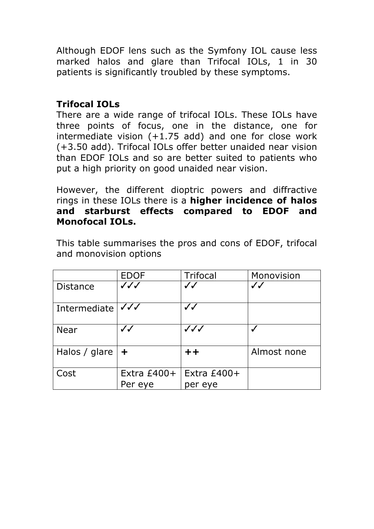Although EDOF lens such as the Symfony IOL cause less marked halos and glare than Trifocal IOLs, 1 in 30 patients is significantly troubled by these symptoms.

#### **Trifocal IOLs**

There are a wide range of trifocal IOLs. These IOLs have three points of focus, one in the distance, one for intermediate vision  $(+1.75$  add) and one for close work (+3.50 add). Trifocal IOLs offer better unaided near vision than EDOF IOLs and so are better suited to patients who put a high priority on good unaided near vision.

However, the different dioptric powers and diffractive rings in these IOLs there is a **higher incidence of halos and starburst effects compared to EDOF and Monofocal IOLs.**

|                 | <b>EDOF</b>              | <b>Trifocal</b>          | Monovision   |  |
|-----------------|--------------------------|--------------------------|--------------|--|
| <b>Distance</b> | $\checkmark\checkmark$   | $\checkmark$             | $\checkmark$ |  |
| Intermediate    | $\checkmark\checkmark$   | $\checkmark$             |              |  |
| <b>Near</b>     | $\checkmark$             | $\checkmark\checkmark$   |              |  |
| Halos / glare   | $\ddag$                  | $+ +$                    | Almost none  |  |
| Cost            | Extra $£400+$<br>Per eye | Extra $£400+$<br>per eye |              |  |

This table summarises the pros and cons of EDOF, trifocal and monovision options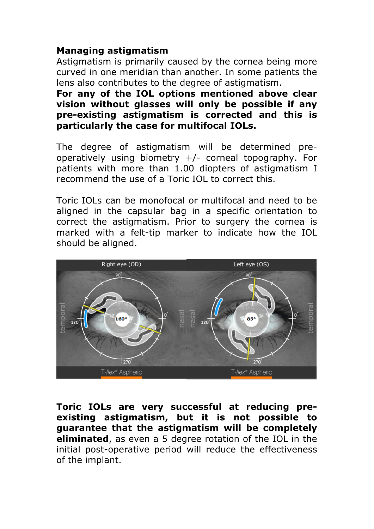#### **Managing astigmatism**

Astigmatism is primarily caused by the cornea being more curved in one meridian than another. In some patients the lens also contributes to the degree of astigmatism.

**For any of the IOL options mentioned above clear vision without glasses will only be possible if any pre-existing astigmatism is corrected and this is particularly the case for multifocal IOLs.** 

The degree of astigmatism will be determined preoperatively using biometry +/- corneal topography. For patients with more than 1.00 diopters of astigmatism I recommend the use of a Toric IOL to correct this.

Toric IOLs can be monofocal or multifocal and need to be aligned in the capsular bag in a specific orientation to correct the astigmatism. Prior to surgery the cornea is marked with a felt-tip marker to indicate how the IOL should be aligned.



**Toric IOLs are very successful at reducing preexisting astigmatism, but it is not possible to guarantee that the astigmatism will be completely eliminated**, as even a 5 degree rotation of the IOL in the initial post-operative period will reduce the effectiveness of the implant.